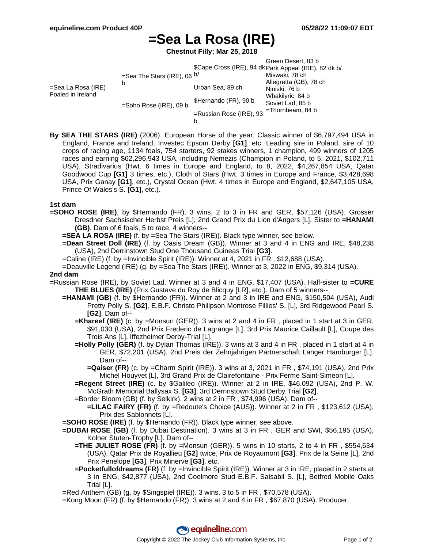# **=Sea La Rosa (IRE)**

**Chestnut Filly; Mar 25, 2018**

|                                         |                                                                 |                                 | Green Desert, 83 b<br>\$Cape Cross (IRE), 94 dk Park Appeal (IRE), 82 dk b/                                              |
|-----------------------------------------|-----------------------------------------------------------------|---------------------------------|--------------------------------------------------------------------------------------------------------------------------|
| =Sea La Rosa (IRE)<br>Foaled in Ireland | =Sea The Stars (IRE), 06 $b/$<br>b<br>$=$ Soho Rose (IRE), 09 b |                                 | Miswaki, 78 ch<br>Allegretta (GB), 78 ch<br>Niniski, 76 b<br>Whakilyric, 84 b<br>Soviet Lad, 85 b<br>$=$ Thornbeam, 84 b |
|                                         |                                                                 | Urban Sea, 89 ch                |                                                                                                                          |
|                                         |                                                                 | \$Hernando (FR), 90 b           |                                                                                                                          |
|                                         |                                                                 | $=$ Russian Rose (IRE), 93<br>b |                                                                                                                          |

**By SEA THE STARS (IRE)** (2006). European Horse of the year, Classic winner of \$6,797,494 USA in England, France and Ireland, Investec Epsom Derby **[G1]**, etc. Leading sire in Poland, sire of 10 crops of racing age, 1134 foals, 754 starters, 92 stakes winners, 1 champion, 499 winners of 1205 races and earning \$62,296,943 USA, including Nemezis (Champion in Poland, to 5, 2021, \$102,711 USA), Stradivarius (Hwt. 6 times in Europe and England, to 8, 2022, \$4,267,854 USA, Qatar Goodwood Cup **[G1]** 3 times, etc.), Cloth of Stars (Hwt. 3 times in Europe and France, \$3,428,698 USA, Prix Ganay **[G1]**, etc.), Crystal Ocean (Hwt. 4 times in Europe and England, \$2,647,105 USA, Prince Of Wales's S. **[G1]**, etc.).

### **1st dam**

- **=SOHO ROSE (IRE)**, by \$Hernando (FR). 3 wins, 2 to 3 in FR and GER, \$57,126 (USA), Grosser Dresdner Sachsischer Herbst Preis [L], 2nd Grand Prix du Lion d'Angers [L]. Sister to **=HANAMI (GB)**. Dam of 6 foals, 5 to race, 4 winners--
	- **=SEA LA ROSA (IRE)** (f. by =Sea The Stars (IRE)). Black type winner, see below.
	- **=Dean Street Doll (IRE)** (f. by Oasis Dream (GB)). Winner at 3 and 4 in ENG and IRE, \$48,238 (USA), 2nd Derrinstown Stud One Thousand Guineas Trial **[G3]**.
	- =Caline (IRE) (f. by =Invincible Spirit (IRE)). Winner at 4, 2021 in FR , \$12,688 (USA).
	- =Deauville Legend (IRE) (g. by =Sea The Stars (IRE)). Winner at 3, 2022 in ENG, \$9,314 (USA).

### **2nd dam**

- =Russian Rose (IRE), by Soviet Lad. Winner at 3 and 4 in ENG, \$17,407 (USA). Half-sister to **=CURE THE BLUES (IRE)** (Prix Gustave du Roy de Blicquy [LR], etc.). Dam of 5 winners--
	- **=HANAMI (GB)** (f. by \$Hernando (FR)). Winner at 2 and 3 in IRE and ENG, \$150,504 (USA), Audi Pretty Polly S. **[G2]**, E.B.F. Christo Philipson Montrose Fillies' S. [L], 3rd Ridgewood Pearl S. **[G2]**. Dam of--
		- **=Khareef (IRE)** (c. by =Monsun (GER)). 3 wins at 2 and 4 in FR , placed in 1 start at 3 in GER, \$91,030 (USA), 2nd Prix Frederic de Lagrange [L], 3rd Prix Maurice Caillault [L], Coupe des Trois Ans [L], Iffezheimer Derby-Trial [L].
		- **=Holly Polly (GER)** (f. by Dylan Thomas (IRE)). 3 wins at 3 and 4 in FR , placed in 1 start at 4 in GER, \$72,201 (USA), 2nd Preis der Zehnjahrigen Partnerschaft Langer Hamburger [L]. Dam of--
			- **=Qaiser (FR)** (c. by =Charm Spirit (IRE)). 3 wins at 3, 2021 in FR , \$74,191 (USA), 2nd Prix Michel Houyvet [L], 3rd Grand Prix de Clairefontaine - Prix Ferme Saint-Simeon [L].
		- **=Regent Street (IRE)** (c. by \$Galileo (IRE)). Winner at 2 in IRE, \$46,092 (USA), 2nd P. W. McGrath Memorial Ballysax S. **[G3]**, 3rd Derrinstown Stud Derby Trial **[G2]**.
		- =Border Bloom (GB) (f. by Selkirk). 2 wins at 2 in FR , \$74,996 (USA). Dam of--
		- **=LILAC FAIRY (FR)** (f. by =Redoute's Choice (AUS)). Winner at 2 in FR , \$123,612 (USA), Prix des Sablonnets [L].
	- **=SOHO ROSE (IRE)** (f. by \$Hernando (FR)). Black type winner, see above.
	- **=DUBAI ROSE (GB)** (f. by Dubai Destination). 3 wins at 3 in FR , GER and SWI, \$56,195 (USA), Kolner Stuten-Trophy [L]. Dam of--
		- **=THE JULIET ROSE (FR)** (f. by =Monsun (GER)). 5 wins in 10 starts, 2 to 4 in FR , \$554,634 (USA), Qatar Prix de Royallieu **[G2]** twice, Prix de Royaumont **[G3]**, Prix de la Seine [L], 2nd Prix Penelope **[G3]**, Prix Minerve **[G3]**, etc.
		- **=Pocketfullofdreams (FR)** (f. by =Invincible Spirit (IRE)). Winner at 3 in IRE, placed in 2 starts at 3 in ENG, \$42,877 (USA), 2nd Coolmore Stud E.B.F. Salsabil S. [L], Betfred Mobile Oaks Trial [L].
	- =Red Anthem (GB) (g. by \$Singspiel (IRE)). 3 wins, 3 to 5 in FR , \$70,578 (USA).
	- =Kong Moon (FR) (f. by \$Hernando (FR)). 3 wins at 2 and 4 in FR , \$67,870 (USA). Producer.